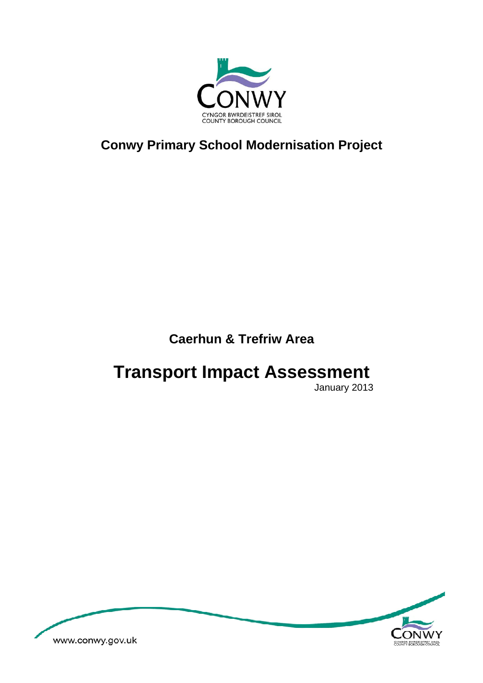

**Conwy Primary School Modernisation Project** 

# **Caerhun & Trefriw Area**

# **Transport Impact Assessment**

January 2013

<span id="page-0-0"></span>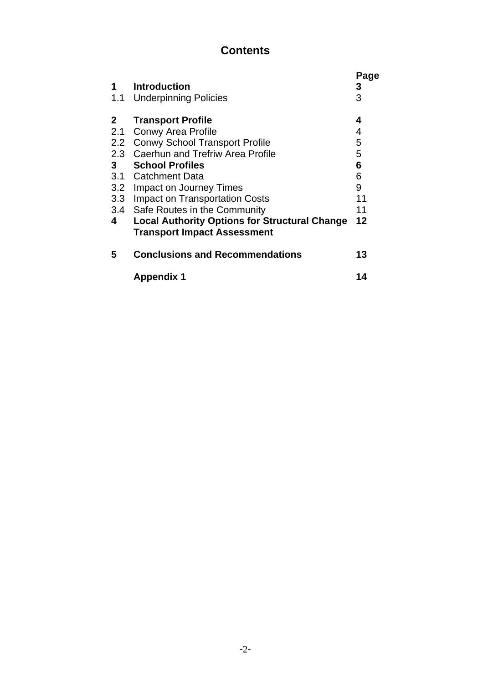## **Contents**

| 1<br>1.1       | <b>Introduction</b><br><b>Underpinning Policies</b>                                        | Page<br>3<br>3 |
|----------------|--------------------------------------------------------------------------------------------|----------------|
| $\mathbf{2}$   | <b>Transport Profile</b>                                                                   | 4              |
| 2.1            | <b>Conwy Area Profile</b>                                                                  | 4              |
| 2.2            | <b>Conwy School Transport Profile</b>                                                      | 5              |
|                | 2.3 Caerhun and Trefriw Area Profile                                                       | 5              |
| 3 <sup>1</sup> | <b>School Profiles</b>                                                                     | 6              |
|                | 3.1 Catchment Data                                                                         | 6              |
|                | 3.2 Impact on Journey Times                                                                | 9              |
|                | 3.3 Impact on Transportation Costs                                                         | 11             |
|                | 3.4 Safe Routes in the Community                                                           | 11             |
| 4              | <b>Local Authority Options for Structural Change</b><br><b>Transport Impact Assessment</b> | 12             |
| 5              | <b>Conclusions and Recommendations</b>                                                     | 13             |
|                | <b>Appendix 1</b>                                                                          | 14             |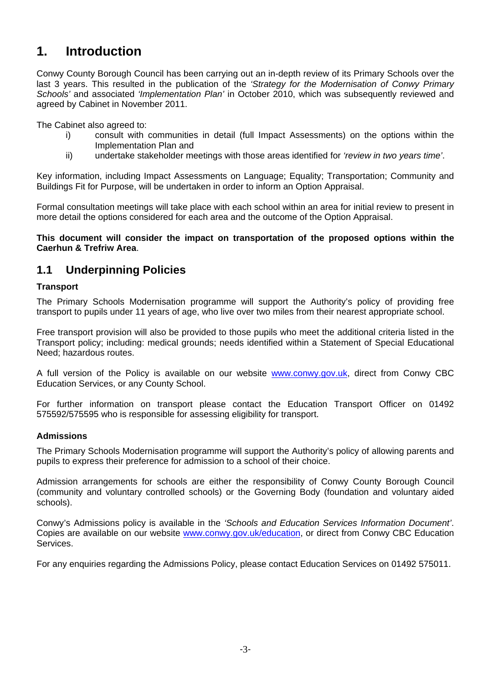# **1. Introduction**

Conwy County Borough Council has been carrying out an in-depth review of its Primary Schools over the last 3 years. This resulted in the publication of the *'Strategy for the Modernisation of Conwy Primary Schools'* and associated *'Implementation Plan'* in October 2010, which was subsequently reviewed and agreed by Cabinet in November 2011.

The Cabinet also agreed to:

- i) consult with communities in detail (full Impact Assessments) on the options within the Implementation Plan and
- ii) undertake stakeholder meetings with those areas identified for *'review in two years time'*.

Key information, including Impact Assessments on Language; Equality; Transportation; Community and Buildings Fit for Purpose, will be undertaken in order to inform an Option Appraisal.

Formal consultation meetings will take place with each school within an area for initial review to present in more detail the options considered for each area and the outcome of the Option Appraisal.

**This document will consider the impact on transportation of the proposed options within the Caerhun & Trefriw Area**.

### **1.1 Underpinning Policies**

#### **Transport**

The Primary Schools Modernisation programme will support the Authority's policy of providing free transport to pupils under 11 years of age, who live over two miles from their nearest appropriate school.

Free transport provision will also be provided to those pupils who meet the additional criteria listed in the Transport policy; including: medical grounds; needs identified within a Statement of Special Educational Need; hazardous routes.

A full version of the Policy is available on our website [www.conwy.gov.uk,](http://www.conwy.gov.uk/) direct from Conwy CBC Education Services, or any County School.

For further information on transport please contact the Education Transport Officer on 01492 575592/575595 who is responsible for assessing eligibility for transport.

#### **Admissions**

The Primary Schools Modernisation programme will support the Authority's policy of allowing parents and pupils to express their preference for admission to a school of their choice.

Admission arrangements for schools are either the responsibility of Conwy County Borough Council (community and voluntary controlled schools) or the Governing Body (foundation and voluntary aided schools).

Conwy's Admissions policy is available in the *'Schools and Education Services Information Document'*. Copies are available on our website [www.conwy.gov.uk/education](http://www.conwy.gov.uk/education), or direct from Conwy CBC Education Services.

For any enquiries regarding the Admissions Policy, please contact Education Services on 01492 575011.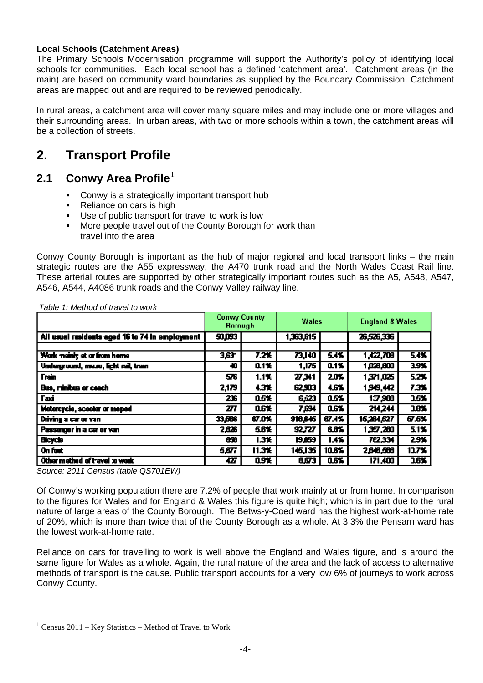#### **Local Schools (Catchment Areas)**

The Primary Schools Modernisation programme will support the Authority's policy of identifying local schools for communities. Each local school has a defined 'catchment area'. Catchment areas (in the main) are based on community ward boundaries as supplied by the Boundary Commission. Catchment areas are mapped out and are required to be reviewed periodically.

In rural areas, a catchment area will cover many square miles and may include one or more villages and their surrounding areas. In urban areas, with two or more schools within a town, the catchment areas will be a collection of streets.

## **2. Transport Profile**

#### **2.1 Conwy Area Profile**[1](#page-0-0)

- **Conwy is a strategically important transport hub**
- Reliance on cars is high
- Use of public transport for travel to work is low
- More people travel out of the County Borough for work than travel into the area

Conwy County Borough is important as the hub of major regional and local transport links – the main strategic routes are the A55 expressway, the A470 trunk road and the North Wales Coast Rail line. These arterial routes are supported by other strategically important routes such as the A5, A548, A547, A546, A544, A4086 trunk roads and the Conwy Valley railway line.

|                                                 | Conwy County<br><b>Rorough</b> |            | <b>Wales</b> |       | <b>England &amp; Wales</b> |       |
|-------------------------------------------------|--------------------------------|------------|--------------|-------|----------------------------|-------|
| All usual residents aged 16 to 74 in employment | 50,093                         |            | 1,363,615    |       | 26,526,336                 |       |
|                                                 |                                |            |              |       |                            |       |
| Work mainly at or from home                     | 3,63                           | 7.2%       | 73,140       | 5.4%  | 1,422,708                  | 54%   |
| Underground, me.ro, light rail, tram            | 40                             | 0.1%       | 1,175        | 0.1%  | 1,028,600                  | 3.9%  |
| <b>Train</b>                                    | 576                            | 1.1%       | 27.341       | 20%   | 1.371,025                  | 5.2%  |
| Bus, rinibus or ceach                           | 2,179                          | 4.3%       | 62,903       | 4.6%  | 190.42                     | 7.3%  |
| <b>Taxi</b>                                     | 236                            | 0.5%       | 6,523        | 0.5%  | 13,900                     | 15%   |
| Motorcycle, scooler or moped                    | 277                            | <b>OSX</b> | 7,694        | 0.6%  | 214,244                    | 18%   |
| Driving a car or van                            | 33,666                         | 67.0%      | 918.646      | 67.1% | 16,264,627                 | 67.6% |
| Passanger in a car or van                       | 2,826                          | 5.6%       | 92,727       | 6.8%  | 1,357,280                  | 5.1%  |
| <b>Bicycle</b>                                  | 850                            | 1.3%       | 19.059       | 1.4%  | 722,334                    | 2.9%  |
| On fost                                         | 5,677                          | 11.3%      | 145,135      | 10.6% | 2,846,500                  | 13.7% |
| Other method of travel to work                  | œ                              | 0.9%       | 8.673        | 0.6%  | 171,400                    | 16%   |

 *Table 1: Method of travel to work* 

*Source: 2011 Census (table QS701EW)* 

Of Conwy's working population there are 7.2% of people that work mainly at or from home. In comparison to the figures for Wales and for England & Wales this figure is quite high; which is in part due to the rural nature of large areas of the County Borough. The Betws-y-Coed ward has the highest work-at-home rate of 20%, which is more than twice that of the County Borough as a whole. At 3.3% the Pensarn ward has the lowest work-at-home rate.

Reliance on cars for travelling to work is well above the England and Wales figure, and is around the same figure for Wales as a whole. Again, the rural nature of the area and the lack of access to alternative methods of transport is the cause. Public transport accounts for a very low 6% of journeys to work across Conwy County.

<span id="page-3-0"></span> $\overline{a}$ 1 Census 2011 – Key Statistics – Method of Travel to Work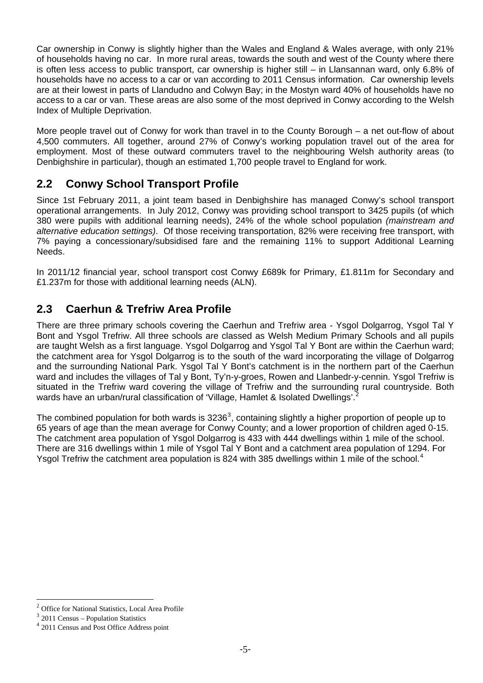Car ownership in Conwy is slightly higher than the Wales and England & Wales average, with only 21% of households having no car. In more rural areas, towards the south and west of the County where there is often less access to public transport, car ownership is higher still – in Llansannan ward, only 6.8% of households have no access to a car or van according to 2011 Census information. Car ownership levels are at their lowest in parts of Llandudno and Colwyn Bay; in the Mostyn ward 40% of households have no access to a car or van. These areas are also some of the most deprived in Conwy according to the Welsh Index of Multiple Deprivation.

More people travel out of Conwy for work than travel in to the County Borough – a net out-flow of about 4,500 commuters. All together, around 27% of Conwy's working population travel out of the area for employment. Most of these outward commuters travel to the neighbouring Welsh authority areas (to Denbighshire in particular), though an estimated 1,700 people travel to England for work.

## **2.2 Conwy School Transport Profile**

Since 1st February 2011, a joint team based in Denbighshire has managed Conwy's school transport operational arrangements. In July 2012, Conwy was providing school transport to 3425 pupils (of which 380 were pupils with additional learning needs), 24% of the whole school population *(mainstream and alternative education settings)*. Of those receiving transportation, 82% were receiving free transport, with 7% paying a concessionary/subsidised fare and the remaining 11% to support Additional Learning Needs.

In 2011/12 financial year, school transport cost Conwy £689k for Primary, £1.811m for Secondary and £1.237m for those with additional learning needs (ALN).

## **2.3 Caerhun & Trefriw Area Profile**

There are three primary schools covering the Caerhun and Trefriw area - Ysgol Dolgarrog, Ysgol Tal Y Bont and Ysgol Trefriw. All three schools are classed as Welsh Medium Primary Schools and all pupils are taught Welsh as a first language. Ysgol Dolgarrog and Ysgol Tal Y Bont are within the Caerhun ward; the catchment area for Ysgol Dolgarrog is to the south of the ward incorporating the village of Dolgarrog and the surrounding National Park. Ysgol Tal Y Bont's catchment is in the northern part of the Caerhun ward and includes the villages of Tal y Bont, Ty'n-y-groes, Rowen and Llanbedr-y-cennin. Ysgol Trefriw is situated in the Trefriw ward covering the village of Trefriw and the surrounding rural countryside. Both wards have an urban/rural classification of 'Village, Hamlet & Isolated Dwellings'.<sup>[2](#page-3-0)</sup>

The combined population for both wards is  $3236^3$  $3236^3$ , containing slightly a higher proportion of people up to 65 years of age than the mean average for Conwy County; and a lower proportion of children aged 0-15. The catchment area population of Ysgol Dolgarrog is 433 with 444 dwellings within 1 mile of the school. There are 316 dwellings within 1 mile of Ysgol Tal Y Bont and a catchment area population of 1294. For Ysgol Trefriw the catchment area population is 82[4](#page-4-1) with 385 dwellings within 1 mile of the school.<sup>4</sup>

 $\overline{2}$ <sup>2</sup> Office for National Statistics, Local Area Profile

<span id="page-4-0"></span> $3$  2011 Census – Population Statistics

<span id="page-4-1"></span><sup>4</sup> 2011 Census and Post Office Address point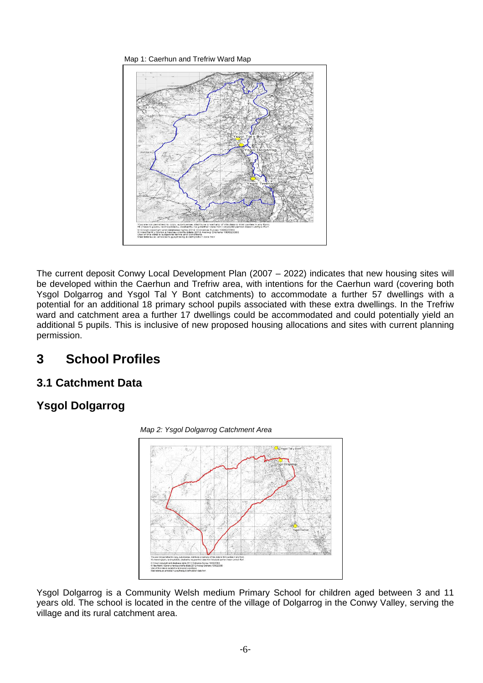Map 1: Caerhun and Trefriw Ward Map



The current deposit Conwy Local Development Plan (2007 – 2022) indicates that new housing sites will be developed within the Caerhun and Trefriw area, with intentions for the Caerhun ward (covering both Ysgol Dolgarrog and Ysgol Tal Y Bont catchments) to accommodate a further 57 dwellings with a potential for an additional 18 primary school pupils associated with these extra dwellings. In the Trefriw ward and catchment area a further 17 dwellings could be accommodated and could potentially yield an additional 5 pupils. This is inclusive of new proposed housing allocations and sites with current planning permission.

# **3 School Profiles**

## **3.1 Catchment Data**

## **Ysgol Dolgarrog**



Ysgol Dolgarrog is a Community Welsh medium Primary School for children aged between 3 and 11 years old. The school is located in the centre of the village of Dolgarrog in the Conwy Valley, serving the village and its rural catchment area.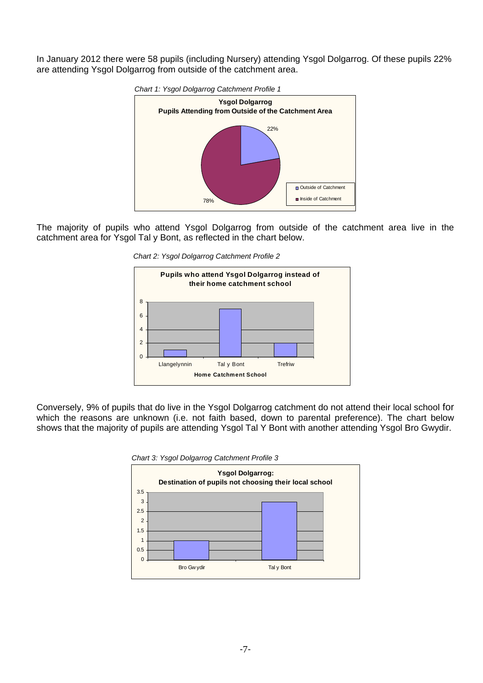In January 2012 there were 58 pupils (including Nursery) attending Ysgol Dolgarrog. Of these pupils 22% are attending Ysgol Dolgarrog from outside of the catchment area.



The majority of pupils who attend Ysgol Dolgarrog from outside of the catchment area live in the catchment area for Ysgol Tal y Bont, as reflected in the chart below.

 *Chart 2: Ysgol Dolgarrog Catchment Profile 2* 



Conversely, 9% of pupils that do live in the Ysgol Dolgarrog catchment do not attend their local school for which the reasons are unknown (i.e. not faith based, down to parental preference). The chart below shows that the majority of pupils are attending Ysgol Tal Y Bont with another attending Ysgol Bro Gwydir.



 *Chart 3: Ysgol Dolgarrog Catchment Profile 3*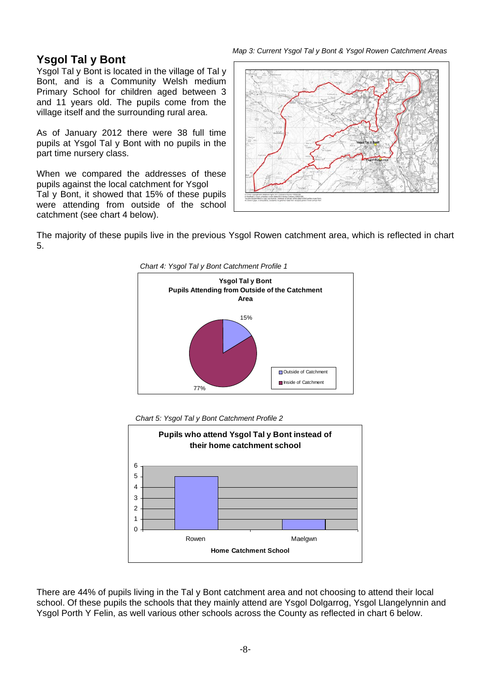*Map 3: Current Ysgol Tal y Bont & Ysgol Rowen Catchment Areas* 

## **Ysgol Tal y Bont**

Ysgol Tal y Bont is located in the village of Tal y Bont, and is a Community Welsh medium Primary School for children aged between 3 and 11 years old. The pupils come from the village itself and the surrounding rural area.

As of January 2012 there were 38 full time pupils at Ysgol Tal y Bont with no pupils in the part time nursery class.

When we compared the addresses of these pupils against the local catchment for Ysgol Tal y Bont, it showed that 15% of these pupils were attending from outside of the school catchment (see chart 4 below).



The majority of these pupils live in the previous Ysgol Rowen catchment area, which is reflected in chart 5.



 *Chart 5: Ysgol Tal y Bont Catchment Profile 2* 



There are 44% of pupils living in the Tal y Bont catchment area and not choosing to attend their local school. Of these pupils the schools that they mainly attend are Ysgol Dolgarrog, Ysgol Llangelynnin and Ysgol Porth Y Felin, as well various other schools across the County as reflected in chart 6 below.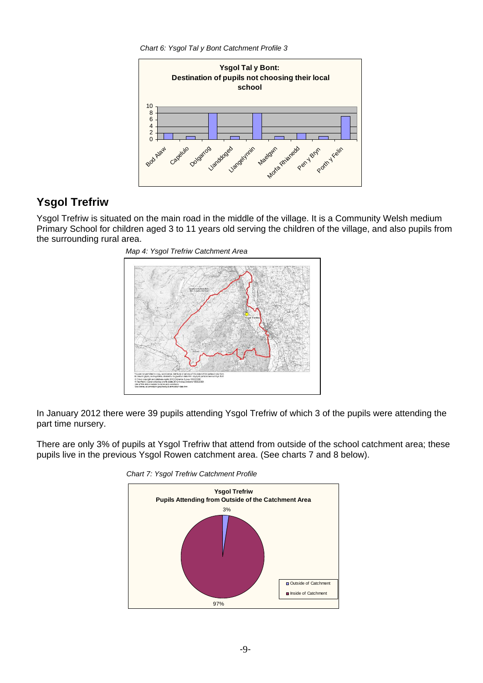*Chart 6: Ysgol Tal y Bont Catchment Profile 3*



## **Ysgol Trefriw**

Ysgol Trefriw is situated on the main road in the middle of the village. It is a Community Welsh medium Primary School for children aged 3 to 11 years old serving the children of the village, and also pupils from the surrounding rural area.



In January 2012 there were 39 pupils attending Ysgol Trefriw of which 3 of the pupils were attending the part time nursery.

There are only 3% of pupils at Ysgol Trefriw that attend from outside of the school catchment area; these pupils live in the previous Ysgol Rowen catchment area. (See charts 7 and 8 below).



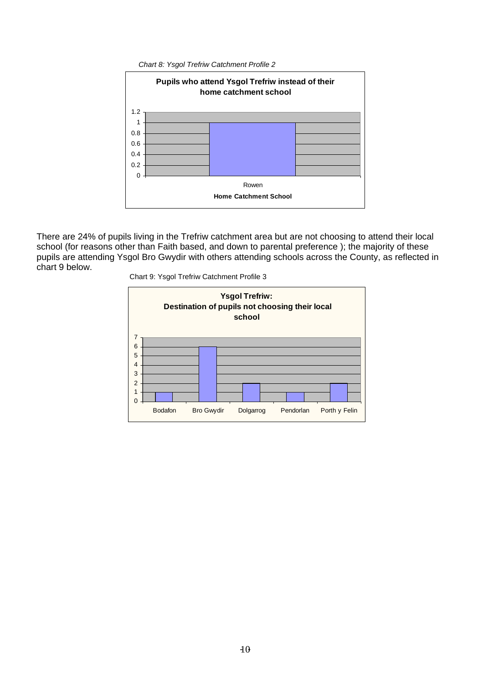*Chart 8: Ysgol Trefriw Catchment Profile 2*



There are 24% of pupils living in the Trefriw catchment area but are not choosing to attend their local school (for reasons other than Faith based, and down to parental preference ); the majority of these pupils are attending Ysgol Bro Gwydir with others attending schools across the County, as reflected in chart 9 below.



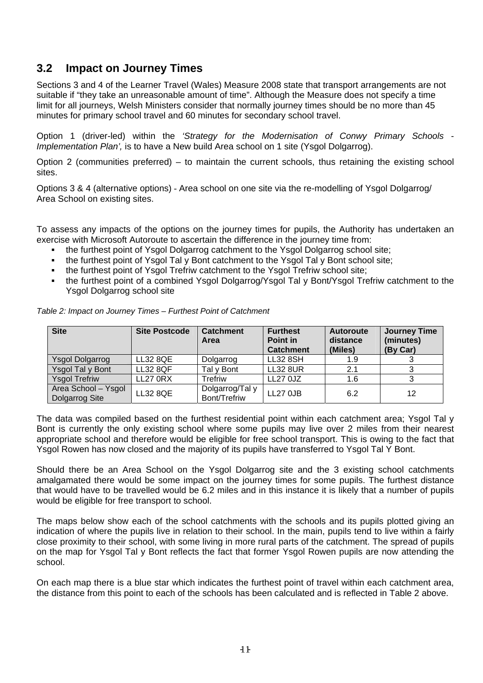### **3.2 Impact on Journey Times**

Sections 3 and 4 of the Learner Travel (Wales) Measure 2008 state that transport arrangements are not suitable if "they take an unreasonable amount of time". Although the Measure does not specify a time limit for all journeys, Welsh Ministers consider that normally journey times should be no more than 45 minutes for primary school travel and 60 minutes for secondary school travel.

Option 1 (driver-led) within the *'Strategy for the Modernisation of Conwy Primary Schools* - *Implementation Plan',* is to have a New build Area school on 1 site (Ysgol Dolgarrog).

Option 2 (communities preferred) – to maintain the current schools, thus retaining the existing school sites.

Options 3 & 4 (alternative options) - Area school on one site via the re-modelling of Ysgol Dolgarrog/ Area School on existing sites.

To assess any impacts of the options on the journey times for pupils, the Authority has undertaken an exercise with Microsoft Autoroute to ascertain the difference in the journey time from:

- the furthest point of Ysgol Dolgarrog catchment to the Ysgol Dolgarrog school site;
- the furthest point of Ysgol Tal y Bont catchment to the Ysgol Tal y Bont school site;
- the furthest point of Ysgol Trefriw catchment to the Ysgol Trefriw school site;
- the furthest point of a combined Ysgol Dolgarrog/Ysgol Tal y Bont/Ysgol Trefriw catchment to the Ysgol Dolgarrog school site

| <b>Site</b>                           | <b>Site Postcode</b> | <b>Catchment</b><br>Area        | <b>Furthest</b><br>Point in<br><b>Catchment</b> | <b>Autoroute</b><br>distance<br>(Miles) | Journey Time<br>(minutes)<br>(By Car) |
|---------------------------------------|----------------------|---------------------------------|-------------------------------------------------|-----------------------------------------|---------------------------------------|
| Ysgol Dolgarrog                       | <b>LL32 8QE</b>      | Dolgarrog                       | <b>LL32 8SH</b>                                 | 1.9                                     |                                       |
| Ysgol Tal y Bont                      | <b>LL32 8QF</b>      | Tal y Bont                      | <b>LL32 8UR</b>                                 | 2.1                                     |                                       |
| <b>Ysgol Trefriw</b>                  | <b>LL27 0RX</b>      | <b>Trefriw</b>                  | <b>LL27 0JZ</b>                                 | 1.6                                     |                                       |
| Area School - Ysgol<br>Dolgarrog Site | <b>LL32 8QE</b>      | Dolgarrog/Tal y<br>Bont/Trefriw | <b>LL27 0JB</b>                                 | 6.2                                     | 12                                    |

*Table 2: Impact on Journey Times – Furthest Point of Catchment* 

The data was compiled based on the furthest residential point within each catchment area; Ysgol Tal y Bont is currently the only existing school where some pupils may live over 2 miles from their nearest appropriate school and therefore would be eligible for free school transport. This is owing to the fact that Ysgol Rowen has now closed and the majority of its pupils have transferred to Ysgol Tal Y Bont.

Should there be an Area School on the Ysgol Dolgarrog site and the 3 existing school catchments amalgamated there would be some impact on the journey times for some pupils. The furthest distance that would have to be travelled would be 6.2 miles and in this instance it is likely that a number of pupils would be eligible for free transport to school.

The maps below show each of the school catchments with the schools and its pupils plotted giving an indication of where the pupils live in relation to their school. In the main, pupils tend to live within a fairly close proximity to their school, with some living in more rural parts of the catchment. The spread of pupils on the map for Ysgol Tal y Bont reflects the fact that former Ysgol Rowen pupils are now attending the school.

On each map there is a blue star which indicates the furthest point of travel within each catchment area, the distance from this point to each of the schools has been calculated and is reflected in Table 2 above.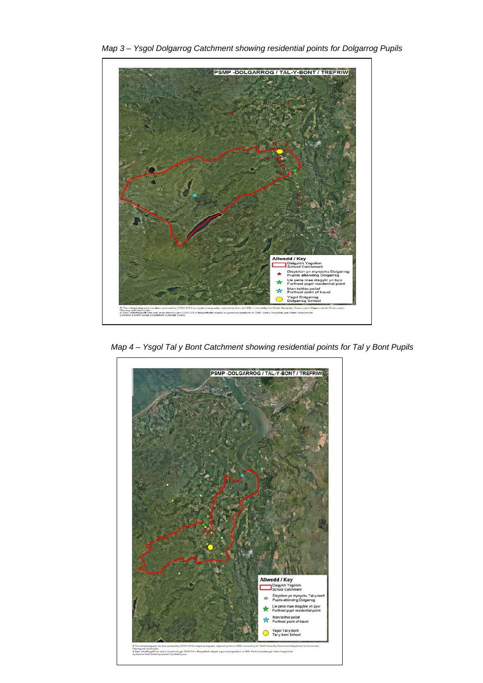

 *Map 3 – Ysgol Dolgarrog Catchment showing residential points for Dolgarrog Pupils* 

 *Map 4 – Ysgol Tal y Bont Catchment showing residential points for Tal y Bont Pupils* 

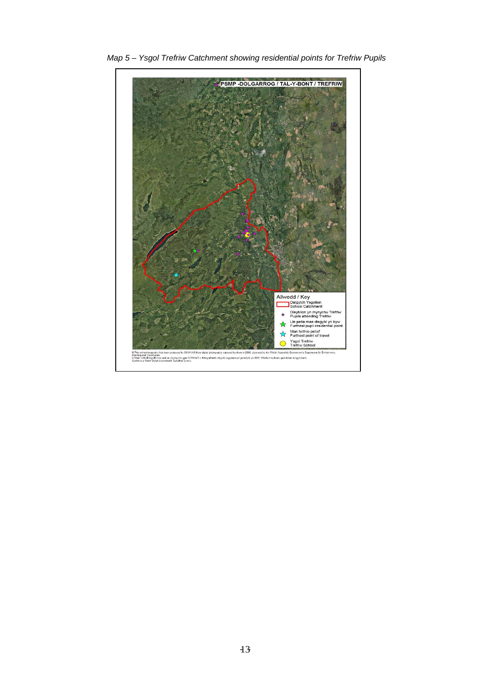

 *Map 5 – Ysgol Trefriw Catchment showing residential points for Trefriw Pupils*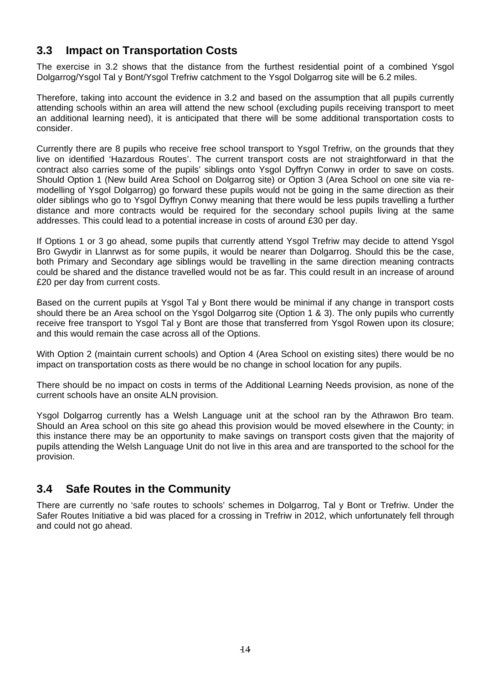## **3.3 Impact on Transportation Costs**

The exercise in 3.2 shows that the distance from the furthest residential point of a combined Ysgol Dolgarrog/Ysgol Tal y Bont/Ysgol Trefriw catchment to the Ysgol Dolgarrog site will be 6.2 miles.

Therefore, taking into account the evidence in 3.2 and based on the assumption that all pupils currently attending schools within an area will attend the new school (excluding pupils receiving transport to meet an additional learning need), it is anticipated that there will be some additional transportation costs to consider.

Currently there are 8 pupils who receive free school transport to Ysgol Trefriw, on the grounds that they live on identified 'Hazardous Routes'. The current transport costs are not straightforward in that the contract also carries some of the pupils' siblings onto Ysgol Dyffryn Conwy in order to save on costs. Should Option 1 (New build Area School on Dolgarrog site) or Option 3 (Area School on one site via remodelling of Ysgol Dolgarrog) go forward these pupils would not be going in the same direction as their older siblings who go to Ysgol Dyffryn Conwy meaning that there would be less pupils travelling a further distance and more contracts would be required for the secondary school pupils living at the same addresses. This could lead to a potential increase in costs of around £30 per day.

If Options 1 or 3 go ahead, some pupils that currently attend Ysgol Trefriw may decide to attend Ysgol Bro Gwydir in Llanrwst as for some pupils, it would be nearer than Dolgarrog. Should this be the case, both Primary and Secondary age siblings would be travelling in the same direction meaning contracts could be shared and the distance travelled would not be as far. This could result in an increase of around £20 per day from current costs.

Based on the current pupils at Ysgol Tal y Bont there would be minimal if any change in transport costs should there be an Area school on the Ysgol Dolgarrog site (Option 1 & 3). The only pupils who currently receive free transport to Ysgol Tal y Bont are those that transferred from Ysgol Rowen upon its closure; and this would remain the case across all of the Options.

With Option 2 (maintain current schools) and Option 4 (Area School on existing sites) there would be no impact on transportation costs as there would be no change in school location for any pupils.

There should be no impact on costs in terms of the Additional Learning Needs provision, as none of the current schools have an onsite ALN provision.

Ysgol Dolgarrog currently has a Welsh Language unit at the school ran by the Athrawon Bro team. Should an Area school on this site go ahead this provision would be moved elsewhere in the County; in this instance there may be an opportunity to make savings on transport costs given that the majority of pupils attending the Welsh Language Unit do not live in this area and are transported to the school for the provision.

#### **3.4 Safe Routes in the Community**

There are currently no 'safe routes to schools' schemes in Dolgarrog, Tal y Bont or Trefriw. Under the Safer Routes Initiative a bid was placed for a crossing in Trefriw in 2012, which unfortunately fell through and could not go ahead.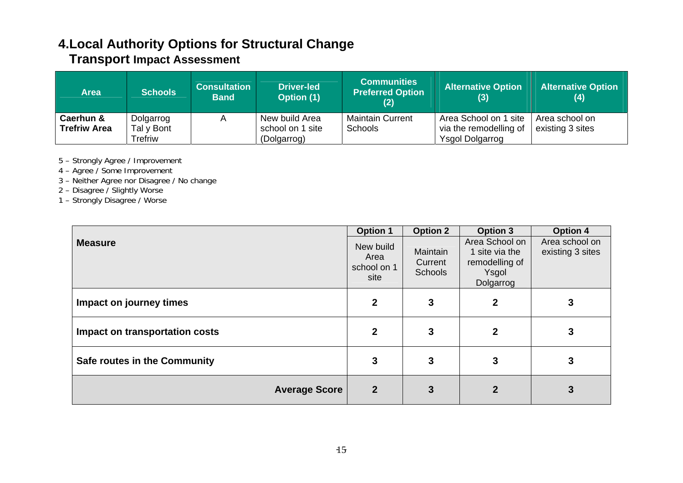# **4.Local Authority Options for Structural Change**

# **Transport Impact Assessment**

| <b>Area</b>                      | <b>Schools</b>          | <b>Consultation</b><br><b>Band</b> | <b>Driver-led</b><br><b>Option (1)</b> | <b>Communities</b><br><b>Preferred Option</b><br>(2) | <b>Alternative Option</b><br>(3)                | <b>Alternative Option</b><br>(4)   |
|----------------------------------|-------------------------|------------------------------------|----------------------------------------|------------------------------------------------------|-------------------------------------------------|------------------------------------|
| Caerhun &<br><b>Trefriw Area</b> | Dolgarrog<br>Tal y Bont |                                    | New build Area<br>school on 1 site     | <b>Maintain Current</b><br><b>Schools</b>            | Area School on 1 site<br>via the remodelling of | Area school on<br>existing 3 sites |
|                                  | Trefriw                 |                                    | (Dolgarrog)                            |                                                      | <b>Ysgol Dolgarrog</b>                          |                                    |

5 – Strongly Agree / Improvement

- 4 Agree / Some Improvement
- 3 Neither Agree nor Disagree / No change
- 2 Disagree / Slightly Worse

1 – Strongly Disagree / Worse

|                                | <b>Option 1</b>                          | <b>Option 2</b>                       | <b>Option 3</b>                                                          | <b>Option 4</b>                    |
|--------------------------------|------------------------------------------|---------------------------------------|--------------------------------------------------------------------------|------------------------------------|
| <b>Measure</b>                 | New build<br>Area<br>school on 1<br>site | Maintain<br>Current<br><b>Schools</b> | Area School on<br>1 site via the<br>remodelling of<br>Ysgol<br>Dolgarrog | Area school on<br>existing 3 sites |
| Impact on journey times        | $\mathbf{2}$                             | 3                                     | $\mathbf 2$                                                              |                                    |
| Impact on transportation costs | $\mathbf{2}$                             | 3                                     | $\mathbf{c}$                                                             |                                    |
| Safe routes in the Community   | 3                                        | 3                                     | 3                                                                        |                                    |
| <b>Average Score</b>           | $\overline{2}$                           | 3                                     |                                                                          |                                    |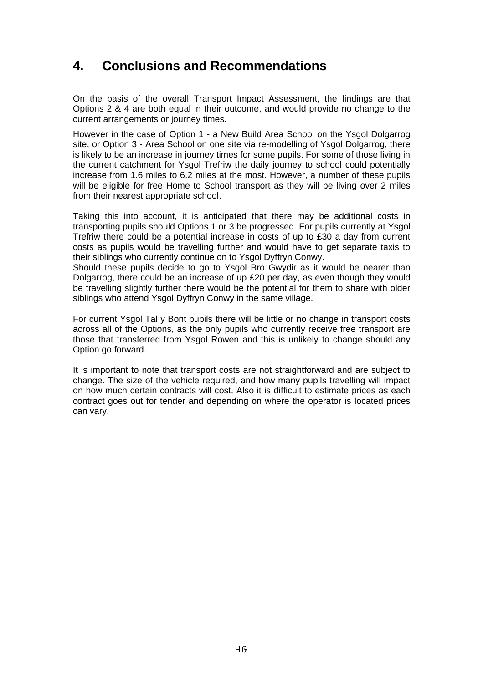## **4. Conclusions and Recommendations**

On the basis of the overall Transport Impact Assessment, the findings are that Options 2 & 4 are both equal in their outcome, and would provide no change to the current arrangements or journey times.

However in the case of Option 1 - a New Build Area School on the Ysgol Dolgarrog site, or Option 3 - Area School on one site via re-modelling of Ysgol Dolgarrog, there is likely to be an increase in journey times for some pupils. For some of those living in the current catchment for Ysgol Trefriw the daily journey to school could potentially increase from 1.6 miles to 6.2 miles at the most. However, a number of these pupils will be eligible for free Home to School transport as they will be living over 2 miles from their nearest appropriate school.

Taking this into account, it is anticipated that there may be additional costs in transporting pupils should Options 1 or 3 be progressed. For pupils currently at Ysgol Trefriw there could be a potential increase in costs of up to £30 a day from current costs as pupils would be travelling further and would have to get separate taxis to their siblings who currently continue on to Ysgol Dyffryn Conwy.

Should these pupils decide to go to Ysgol Bro Gwydir as it would be nearer than Dolgarrog, there could be an increase of up £20 per day, as even though they would be travelling slightly further there would be the potential for them to share with older siblings who attend Ysgol Dyffryn Conwy in the same village.

For current Ysgol Tal y Bont pupils there will be little or no change in transport costs across all of the Options, as the only pupils who currently receive free transport are those that transferred from Ysgol Rowen and this is unlikely to change should any Option go forward.

It is important to note that transport costs are not straightforward and are subject to change. The size of the vehicle required, and how many pupils travelling will impact on how much certain contracts will cost. Also it is difficult to estimate prices as each contract goes out for tender and depending on where the operator is located prices can vary.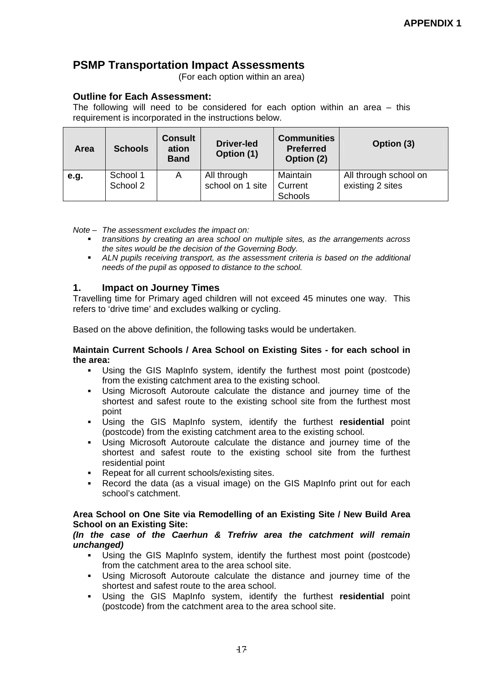## **PSMP Transportation Impact Assessments**

(For each option within an area)

#### **Outline for Each Assessment:**

The following will need to be considered for each option within an area – this requirement is incorporated in the instructions below.

| <b>Area</b> | <b>Schools</b>       | <b>Consult</b><br>ation<br><b>Band</b> | <b>Driver-led</b><br>Option (1) | <b>Communities</b><br><b>Preferred</b><br>Option (2) | Option (3)                                |
|-------------|----------------------|----------------------------------------|---------------------------------|------------------------------------------------------|-------------------------------------------|
| e.g.        | School 1<br>School 2 | A                                      | All through<br>school on 1 site | Maintain<br>Current<br>Schools                       | All through school on<br>existing 2 sites |

#### *Note – The assessment excludes the impact on:*

- *transitions by creating an area school on multiple sites, as the arrangements across the sites would be the decision of the Governing Body.*
- **ALN pupils receiving transport, as the assessment criteria is based on the additional** *needs of the pupil as opposed to distance to the school.*

#### **1. Impact on Journey Times**

Travelling time for Primary aged children will not exceed 45 minutes one way. This refers to 'drive time' and excludes walking or cycling.

Based on the above definition, the following tasks would be undertaken.

#### **Maintain Current Schools / Area School on Existing Sites - for each school in the area:**

- Using the GIS MapInfo system, identify the furthest most point (postcode) from the existing catchment area to the existing school.
- Using Microsoft Autoroute calculate the distance and journey time of the shortest and safest route to the existing school site from the furthest most point
- Using the GIS MapInfo system, identify the furthest **residential** point (postcode) from the existing catchment area to the existing school.
- Using Microsoft Autoroute calculate the distance and journey time of the shortest and safest route to the existing school site from the furthest residential point
- Repeat for all current schools/existing sites.
- Record the data (as a visual image) on the GIS MapInfo print out for each school's catchment.

#### **Area School on One Site via Remodelling of an Existing Site / New Build Area School on an Existing Site:**

#### *(In the case of the Caerhun & Trefriw area the catchment will remain unchanged)*

- Using the GIS MapInfo system, identify the furthest most point (postcode) from the catchment area to the area school site.
- Using Microsoft Autoroute calculate the distance and journey time of the shortest and safest route to the area school.
- Using the GIS MapInfo system, identify the furthest **residential** point (postcode) from the catchment area to the area school site.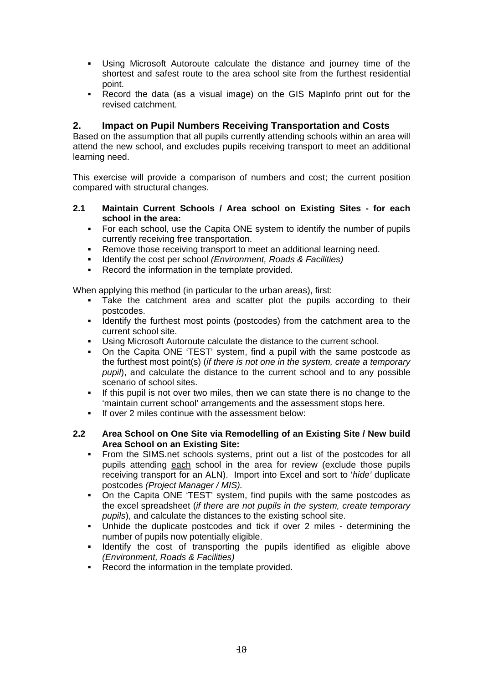- Using Microsoft Autoroute calculate the distance and journey time of the shortest and safest route to the area school site from the furthest residential point.
- Record the data (as a visual image) on the GIS MapInfo print out for the revised catchment.

#### **2. Impact on Pupil Numbers Receiving Transportation and Costs**

Based on the assumption that all pupils currently attending schools within an area will attend the new school, and excludes pupils receiving transport to meet an additional learning need.

This exercise will provide a comparison of numbers and cost; the current position compared with structural changes.

- **2.1 Maintain Current Schools / Area school on Existing Sites for each school in the area:** 
	- For each school, use the Capita ONE system to identify the number of pupils currently receiving free transportation.
	- **Remove those receiving transport to meet an additional learning need.**
	- Identify the cost per school *(Environment, Roads & Facilities)*
	- Record the information in the template provided.

When applying this method (in particular to the urban areas), first:

- Take the catchment area and scatter plot the pupils according to their postcodes.
- Identify the furthest most points (postcodes) from the catchment area to the current school site.
- Using Microsoft Autoroute calculate the distance to the current school.
- On the Capita ONE 'TEST' system, find a pupil with the same postcode as the furthest most point(s) (*if there is not one in the system, create a temporary pupil*), and calculate the distance to the current school and to any possible scenario of school sites.
- If this pupil is not over two miles, then we can state there is no change to the 'maintain current school' arrangements and the assessment stops here.
- If over 2 miles continue with the assessment below:
- **2.2 Area School on One Site via Remodelling of an Existing Site / New build Area School on an Existing Site:** 
	- From the SIMS.net schools systems, print out a list of the postcodes for all pupils attending each school in the area for review (exclude those pupils receiving transport for an ALN). Import into Excel and sort to '*hide'* duplicate postcodes *(Project Manager / MIS).*
	- On the Capita ONE 'TEST' system, find pupils with the same postcodes as the excel spreadsheet (*if there are not pupils in the system, create temporary pupils*), and calculate the distances to the existing school site.
	- Unhide the duplicate postcodes and tick if over 2 miles determining the number of pupils now potentially eligible.
	- Identify the cost of transporting the pupils identified as eligible above *(Environment, Roads & Facilities)*
	- Record the information in the template provided.